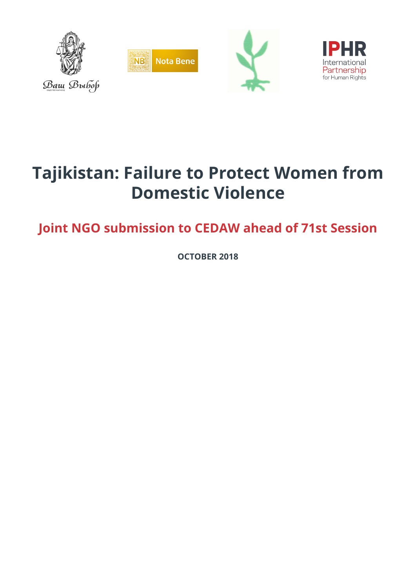

# **Tajikistan: Failure to Protect Women from Domestic Violence**

**Joint NGO submission to CEDAW ahead of 71st Session**

**OCTOBER 2018**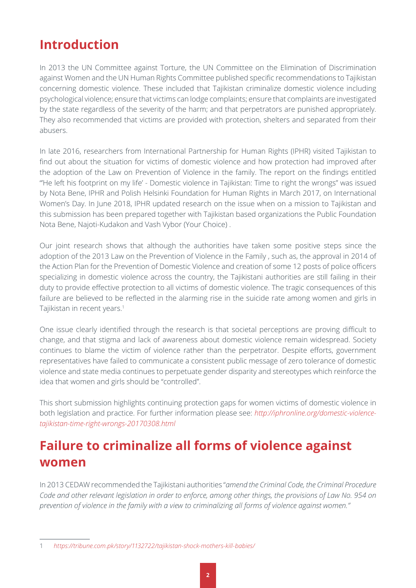#### **Introduction**

In 2013 the UN Committee against Torture, the UN Committee on the Elimination of Discrimination against Women and the UN Human Rights Committee published specific recommendations to Tajikistan concerning domestic violence. These included that Tajikistan criminalize domestic violence including psychological violence; ensure that victims can lodge complaints; ensure that complaints are investigated by the state regardless of the severity of the harm; and that perpetrators are punished appropriately. They also recommended that victims are provided with protection, shelters and separated from their abusers.

In late 2016, researchers from International Partnership for Human Rights (IPHR) visited Tajikistan to find out about the situation for victims of domestic violence and how protection had improved after the adoption of the Law on Prevention of Violence in the family. The report on the findings entitled "He left his footprint on my life' - Domestic violence in Tajikistan: Time to right the wrongs" was issued by Nota Bene, IPHR and Polish Helsinki Foundation for Human Rights in March 2017, on International Women's Day. In June 2018, IPHR updated research on the issue when on a mission to Tajikistan and this submission has been prepared together with Tajikistan based organizations the Public Foundation Nota Bene, Najoti-Kudakon and Vash Vybor (Your Choice) .

Our joint research shows that although the authorities have taken some positive steps since the adoption of the 2013 Law on the Prevention of Violence in the Family , such as, the approval in 2014 of the Action Plan for the Prevention of Domestic Violence and creation of some 12 posts of police officers specializing in domestic violence across the country, the Tajikistani authorities are still failing in their duty to provide effective protection to all victims of domestic violence. The tragic consequences of this failure are believed to be reflected in the alarming rise in the suicide rate among women and girls in Tajikistan in recent years.<sup>1</sup>

One issue clearly identified through the research is that societal perceptions are proving difficult to change, and that stigma and lack of awareness about domestic violence remain widespread. Society continues to blame the victim of violence rather than the perpetrator. Despite efforts, government representatives have failed to communicate a consistent public message of zero tolerance of domestic violence and state media continues to perpetuate gender disparity and stereotypes which reinforce the idea that women and girls should be "controlled".

This short submission highlights continuing protection gaps for women victims of domestic violence in both legislation and practice. For further information please see: *[http://iphronline.org/domestic-violence](http://iphronline.org/domestic-violence-tajikistan-time-right-wrongs-20170308.html)[tajikistan-time-right-wrongs-20170308.html](http://iphronline.org/domestic-violence-tajikistan-time-right-wrongs-20170308.html)*

# **Failure to criminalize all forms of violence against women**

In 2013 CEDAW recommended the Tajikistani authorities "*amend the Criminal Code, the Criminal Procedure Code and other relevant legislation in order to enforce, among other things, the provisions of Law No. 954 on prevention of violence in the family with a view to criminalizing all forms of violence against women."*

<sup>1</sup> *https://tribune.com.pk/story/1132722/tajikistan-shock-mothers-kill-babies/*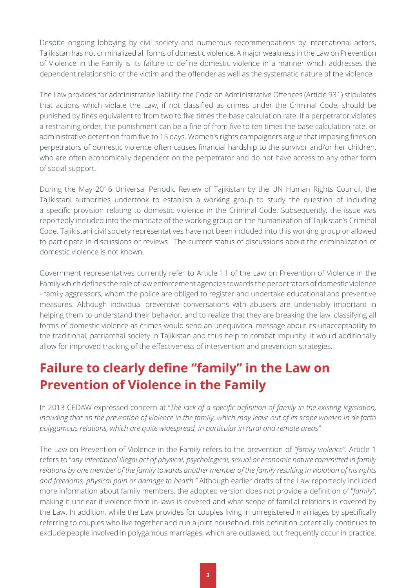Despite ongoing lobbying by civil society and numerous recommendations by international actors, Tajikistan has not criminalized all forms of domestic violence. A major weakness in the Law on Prevention of Violence in the Family is its failure to define domestic violence in a manner which addresses the dependent relationship of the victim and the offender as well as the systematic nature of the violence.

The Law provides for administrative liability: the Code on Administrative Offences (Article 931) stipulates that actions which violate the Law, if not classified as crimes under the Criminal Code, should be punished by fines equivalent to from two to five times the base calculation rate. If a perpetrator violates a restraining order, the punishment can be a fine of from five to ten times the base calculation rate, or administrative detention from five to 15 days. Women's rights campaigners argue that imposing fines on perpetrators of domestic violence often causes financial hardship to the survivor and/or her children, who are often economically dependent on the perpetrator and do not have access to any other form of social support.

During the May 2016 Universal Periodic Review of Tajikistan by the UN Human Rights Council, the Tajikistani authorities undertook to establish a working group to study the question of including a specific provision relating to domestic violence in the Criminal Code. Subsequently, the issue was reportedly included into the mandate of the working group on the humanization of Tajikistan's Criminal Code. Tajikistani civil society representatives have not been included into this working group or allowed to participate in discussions or reviews. The current status of discussions about the criminalization of domestic violence is not known.

Government representatives currently refer to Article 11 of the Law on Prevention of Violence in the Family which defines the role of law enforcement agencies towards the perpetrators of domestic violence - family aggressors, whom the police are obliged to register and undertake educational and preventive measures. Although individual preventive conversations with abusers are undeniably important in helping them to understand their behavior, and to realize that they are breaking the law, classifying all forms of domestic violence as crimes would send an unequivocal message about its unacceptability to the traditional, patriarchal society in Tajikistan and thus help to combat impunity. It would additionally allow for improved tracking of the effectiveness of intervention and prevention strategies.

### **Failure to clearly define "family" in the Law on Prevention of Violence in the Family**

In 2013 CEDAW expressed concern at "*The lack of a specific definition of family in the existing legislation, including that on the prevention of violence in the family, which may leave out of its scope women in de facto polygamous relations, which are quite widespread, in particular in rural and remote areas".*

The Law on Prevention of Violence in the Family refers to the prevention of *"family violence".* Article 1 refers to "*any intentional illegal act of physical, psychological, sexual or economic nature committed in family relations by one member of the family towards another member of the family resulting in violation of his rights and freedoms, physical pain or damage to health."* Although earlier drafts of the Law reportedly included more information about family members, the adopted version does not provide a definition of "*family"*, making it unclear if violence from in-laws is covered and what scope of familial relations is covered by the Law. In addition, while the Law provides for couples living in unregistered marriages by specifically referring to couples who live together and run a joint household, this definition potentially continues to exclude people involved in polygamous marriages, which are outlawed, but frequently occur in practice.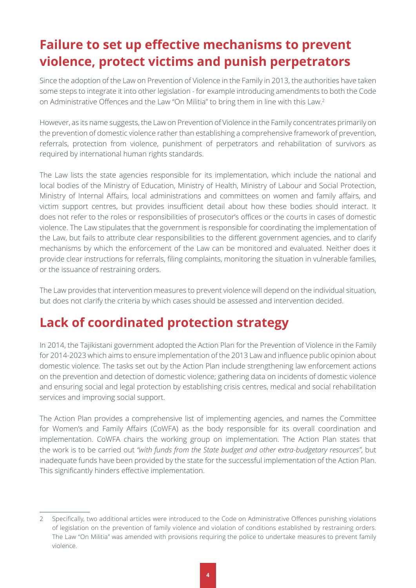## **Failure to set up effective mechanisms to prevent violence, protect victims and punish perpetrators**

Since the adoption of the Law on Prevention of Violence in the Family in 2013, the authorities have taken some steps to integrate it into other legislation - for example introducing amendments to both the Code on Administrative Offences and the Law "On Militia" to bring them in line with this Law.<sup>2</sup>

However, as its name suggests, the Law on Prevention of Violence in the Family concentrates primarily on the prevention of domestic violence rather than establishing a comprehensive framework of prevention, referrals, protection from violence, punishment of perpetrators and rehabilitation of survivors as required by international human rights standards.

The Law lists the state agencies responsible for its implementation, which include the national and local bodies of the Ministry of Education, Ministry of Health, Ministry of Labour and Social Protection, Ministry of Internal Affairs, local administrations and committees on women and family affairs, and victim support centres, but provides insufficient detail about how these bodies should interact. It does not refer to the roles or responsibilities of prosecutor's offices or the courts in cases of domestic violence. The Law stipulates that the government is responsible for coordinating the implementation of the Law, but fails to attribute clear responsibilities to the different government agencies, and to clarify mechanisms by which the enforcement of the Law can be monitored and evaluated. Neither does it provide clear instructions for referrals, filing complaints, monitoring the situation in vulnerable families, or the issuance of restraining orders.

The Law provides that intervention measures to prevent violence will depend on the individual situation, but does not clarify the criteria by which cases should be assessed and intervention decided.

### **Lack of coordinated protection strategy**

In 2014, the Tajikistani government adopted the Action Plan for the Prevention of Violence in the Family for 2014-2023 which aims to ensure implementation of the 2013 Law and influence public opinion about domestic violence. The tasks set out by the Action Plan include strengthening law enforcement actions on the prevention and detection of domestic violence; gathering data on incidents of domestic violence and ensuring social and legal protection by establishing crisis centres, medical and social rehabilitation services and improving social support.

The Action Plan provides a comprehensive list of implementing agencies, and names the Committee for Women's and Family Affairs (CoWFA) as the body responsible for its overall coordination and implementation. CoWFA chairs the working group on implementation. The Action Plan states that the work is to be carried out *"with funds from the State budget and other extra-budgetary resources"*, but inadequate funds have been provided by the state for the successful implementation of the Action Plan. This significantly hinders effective implementation.

<sup>2</sup> Specifically, two additional articles were introduced to the Code on Administrative Offences punishing violations of legislation on the prevention of family violence and violation of conditions established by restraining orders. The Law "On Militia" was amended with provisions requiring the police to undertake measures to prevent family violence.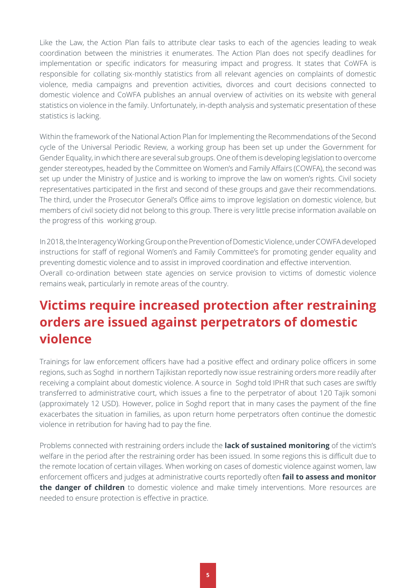Like the Law, the Action Plan fails to attribute clear tasks to each of the agencies leading to weak coordination between the ministries it enumerates. The Action Plan does not specify deadlines for implementation or specific indicators for measuring impact and progress. It states that CoWFA is responsible for collating six-monthly statistics from all relevant agencies on complaints of domestic violence, media campaigns and prevention activities, divorces and court decisions connected to domestic violence and CoWFA publishes an annual overview of activities on its website with general statistics on violence in the family. Unfortunately, in-depth analysis and systematic presentation of these statistics is lacking.

Within the framework of the National Action Plan for Implementing the Recommendations of the Second cycle of the Universal Periodic Review, a working group has been set up under the Government for Gender Equality, in which there are several sub groups. One of them is developing legislation to overcome gender stereotypes, headed by the Committee on Women's and Family Affairs (COWFA), the second was set up under the Ministry of Justice and is working to improve the law on women's rights. Civil society representatives participated in the first and second of these groups and gave their recommendations. The third, under the Prosecutor General's Office aims to improve legislation on domestic violence, but members of civil society did not belong to this group. There is very little precise information available on the progress of this working group.

In 2018, the Interagency Working Group on the Prevention of Domestic Violence, under COWFA developed instructions for staff of regional Women's and Family Committee's for promoting gender equality and preventing domestic violence and to assist in improved coordination and effective intervention. Overall co-ordination between state agencies on service provision to victims of domestic violence remains weak, particularly in remote areas of the country.

### **Victims require increased protection after restraining orders are issued against perpetrators of domestic violence**

Trainings for law enforcement officers have had a positive effect and ordinary police officers in some regions, such as Soghd in northern Tajikistan reportedly now issue restraining orders more readily after receiving a complaint about domestic violence. A source in Soghd told IPHR that such cases are swiftly transferred to administrative court, which issues a fine to the perpetrator of about 120 Tajik somoni (approximately 12 USD). However, police in Soghd report that in many cases the payment of the fine exacerbates the situation in families, as upon return home perpetrators often continue the domestic violence in retribution for having had to pay the fine.

Problems connected with restraining orders include the **lack of sustained monitoring** of the victim's welfare in the period after the restraining order has been issued. In some regions this is difficult due to the remote location of certain villages. When working on cases of domestic violence against women, law enforcement officers and judges at administrative courts reportedly often **fail to assess and monitor the danger of children** to domestic violence and make timely interventions. More resources are needed to ensure protection is effective in practice.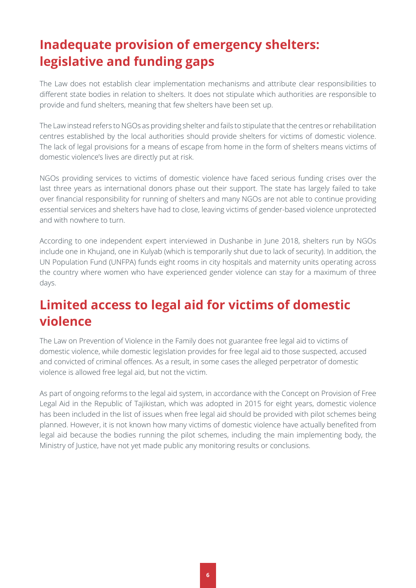# **Inadequate provision of emergency shelters: legislative and funding gaps**

The Law does not establish clear implementation mechanisms and attribute clear responsibilities to different state bodies in relation to shelters. It does not stipulate which authorities are responsible to provide and fund shelters, meaning that few shelters have been set up.

The Law instead refers to NGOs as providing shelter and fails to stipulate that the centres or rehabilitation centres established by the local authorities should provide shelters for victims of domestic violence. The lack of legal provisions for a means of escape from home in the form of shelters means victims of domestic violence's lives are directly put at risk.

NGOs providing services to victims of domestic violence have faced serious funding crises over the last three years as international donors phase out their support. The state has largely failed to take over financial responsibility for running of shelters and many NGOs are not able to continue providing essential services and shelters have had to close, leaving victims of gender-based violence unprotected and with nowhere to turn.

According to one independent expert interviewed in Dushanbe in June 2018, shelters run by NGOs include one in Khujand, one in Kulyab (which is temporarily shut due to lack of security). In addition, the UN Population Fund (UNFPA) funds eight rooms in city hospitals and maternity units operating across the country where women who have experienced gender violence can stay for a maximum of three days.

# **Limited access to legal aid for victims of domestic violence**

The Law on Prevention of Violence in the Family does not guarantee free legal aid to victims of domestic violence, while domestic legislation provides for free legal aid to those suspected, accused and convicted of criminal offences. As a result, in some cases the alleged perpetrator of domestic violence is allowed free legal aid, but not the victim.

As part of ongoing reforms to the legal aid system, in accordance with the Concept on Provision of Free Legal Aid in the Republic of Tajikistan, which was adopted in 2015 for eight years, domestic violence has been included in the list of issues when free legal aid should be provided with pilot schemes being planned. However, it is not known how many victims of domestic violence have actually benefited from legal aid because the bodies running the pilot schemes, including the main implementing body, the Ministry of Justice, have not yet made public any monitoring results or conclusions.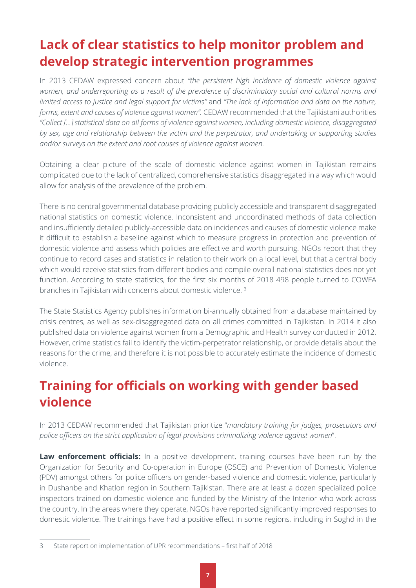# **Lack of clear statistics to help monitor problem and develop strategic intervention programmes**

In 2013 CEDAW expressed concern about *"the persistent high incidence of domestic violence against women, and underreporting as a result of the prevalence of discriminatory social and cultural norms and limited access to justice and legal support for victims"* and *"The lack of information and data on the nature, forms, extent and causes of violence against women".* CEDAW recommended that the Tajikistani authorities *"Collect […] statistical data on all forms of violence against women, including domestic violence, disaggregated by sex, age and relationship between the victim and the perpetrator, and undertaking or supporting studies and/or surveys on the extent and root causes of violence against women.*

Obtaining a clear picture of the scale of domestic violence against women in Tajikistan remains complicated due to the lack of centralized, comprehensive statistics disaggregated in a way which would allow for analysis of the prevalence of the problem.

There is no central governmental database providing publicly accessible and transparent disaggregated national statistics on domestic violence. Inconsistent and uncoordinated methods of data collection and insufficiently detailed publicly-accessible data on incidences and causes of domestic violence make it difficult to establish a baseline against which to measure progress in protection and prevention of domestic violence and assess which policies are effective and worth pursuing. NGOs report that they continue to record cases and statistics in relation to their work on a local level, but that a central body which would receive statistics from different bodies and compile overall national statistics does not yet function. According to state statistics, for the first six months of 2018 498 people turned to COWFA branches in Tajikistan with concerns about domestic violence. <sup>3</sup>

The State Statistics Agency publishes information bi-annually obtained from a database maintained by crisis centres, as well as sex-disaggregated data on all crimes committed in Tajikistan. In 2014 it also published data on violence against women from a Demographic and Health survey conducted in 2012. However, crime statistics fail to identify the victim-perpetrator relationship, or provide details about the reasons for the crime, and therefore it is not possible to accurately estimate the incidence of domestic violence.

# **Training for officials on working with gender based violence**

In 2013 CEDAW recommended that Tajikistan prioritize "*mandatory training for judges, prosecutors and police officers on the strict application of legal provisions criminalizing violence against women*".

**Law enforcement officials:** In a positive development, training courses have been run by the Organization for Security and Co-operation in Europe (OSCE) and Prevention of Domestic Violence (PDV) amongst others for police officers on gender-based violence and domestic violence, particularly in Dushanbe and Khatlon region in Southern Tajikistan. There are at least a dozen specialized police inspectors trained on domestic violence and funded by the Ministry of the Interior who work across the country. In the areas where they operate, NGOs have reported significantly improved responses to domestic violence. The trainings have had a positive effect in some regions, including in Soghd in the

<sup>3</sup> State report on implementation of UPR recommendations – first half of 2018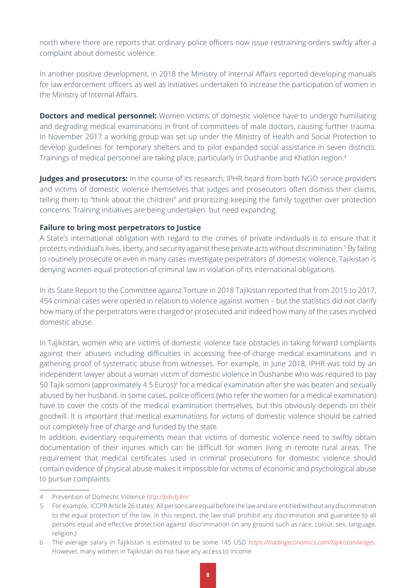north where there are reports that ordinary police officers now issue restraining orders swiftly after a complaint about domestic violence.

In another positive development, in 2018 the Ministry of Internal Affairs reported developing manuals for law enforcement officers as well as initiatives undertaken to increase the participation of women in the Ministry of Internal Affairs.

**Doctors and medical personnel:** Women victims of domestic violence have to undergo humiliating and degrading medical examinations in front of committees of male doctors, causing further trauma. In November 2017 a working group was set up under the Ministry of Health and Social Protection to develop guidelines for temporary shelters and to pilot expanded social assistance in seven districts. Trainings of medical personnel are taking place, particularly in Dushanbe and Khatlon region.4

**Judges and prosecutors:** In the course of its research, IPHR heard from both NGO service providers and victims of domestic violence themselves that judges and prosecutors often dismiss their claims, telling them to "think about the children" and prioritizing keeping the family together over protection concerns. Training initiatives are being undertaken but need expanding.

#### **Failure to bring most perpetrators to Justice**

A State's international obligation with regard to the crimes of private individuals is to ensure that it protects individual's lives, liberty, and security against these private acts without discrimination.<sup>5</sup> By failing to routinely prosecute or even in many cases investigate perpetrators of domestic violence, Tajikistan is denying women equal protection of criminal law in violation of its international obligations.

In its State Report to the Committee against Torture in 2018 Tajikistan reported that from 2015 to 2017, 454 criminal cases were opened in relation to violence against women – but the statistics did not clarify how many of the perpetrators were charged or prosecuted and indeed how many of the cases involved domestic abuse.

In Tajikistan, women who are victims of domestic violence face obstacles in taking forward complaints against their abusers including difficulties in accessing free-of-charge medical examinations and in gathering proof of systematic abuse from witnesses. For example, in June 2018, IPHR was told by an independent lawyer about a woman victim of domestic violence in Dushanbe who was required to pay 50 Tajik somoni (approximately 4.5 Euros)<sup>6</sup> for a medical examination after she was beaten and sexually abused by her husband. In some cases, police officers (who refer the women for a medical examination) have to cover the costs of the medical examination themselves, but this obviously depends on their goodwill. It is important that medical examinations for victims of domestic violence should be carried out completely free of charge and funded by the state.

In addition, evidentiary requirements mean that victims of domestic violence need to swiftly obtain documentation of their injuries which can be difficult for women living in remote rural areas. The requirement that medical certificates used in criminal prosecutions for domestic violence should contain evidence of physical abuse makes it impossible for victims of economic and psychological abuse to pursue complaints.

<sup>4</sup> Prevention of Domestic Violence *http://pdv.tj/en/*

<sup>5</sup> For example, ICCPR Article 26 states: All persons are equal before the law and are entitled without any discrimination to the equal protection of the law. In this respect, the law shall prohibit any discrimination and guarantee to all persons equal and effective protection against discrimination on any ground such as race, colour, sex, language, religion,)

<sup>6</sup> The average salary in Tajikistan is estimated to be some 145 USD *<https://tradingeconomics.com/tajikistan/wages>.*  However, many women in Tajikistan do not have any access to income.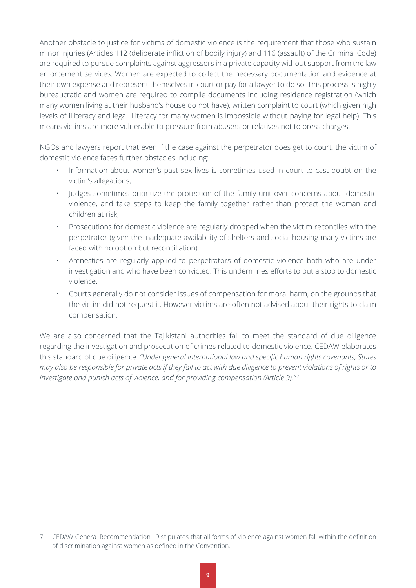Another obstacle to justice for victims of domestic violence is the requirement that those who sustain minor injuries (Articles 112 (deliberate infliction of bodily injury) and 116 (assault) of the Criminal Code) are required to pursue complaints against aggressors in a private capacity without support from the law enforcement services. Women are expected to collect the necessary documentation and evidence at their own expense and represent themselves in court or pay for a lawyer to do so. This process is highly bureaucratic and women are required to compile documents including residence registration (which many women living at their husband's house do not have), written complaint to court (which given high levels of illiteracy and legal illiteracy for many women is impossible without paying for legal help). This means victims are more vulnerable to pressure from abusers or relatives not to press charges.

NGOs and lawyers report that even if the case against the perpetrator does get to court, the victim of domestic violence faces further obstacles including:

- Information about women's past sex lives is sometimes used in court to cast doubt on the victim's allegations;
- Judges sometimes prioritize the protection of the family unit over concerns about domestic violence, and take steps to keep the family together rather than protect the woman and children at risk;
- Prosecutions for domestic violence are regularly dropped when the victim reconciles with the perpetrator (given the inadequate availability of shelters and social housing many victims are faced with no option but reconciliation).
- Amnesties are regularly applied to perpetrators of domestic violence both who are under investigation and who have been convicted. This undermines efforts to put a stop to domestic violence.
- Courts generally do not consider issues of compensation for moral harm, on the grounds that the victim did not request it. However victims are often not advised about their rights to claim compensation.

We are also concerned that the Tajikistani authorities fail to meet the standard of due diligence regarding the investigation and prosecution of crimes related to domestic violence. CEDAW elaborates this standard of due diligence: *"Under general international law and specific human rights covenants, States may also be responsible for private acts if they fail to act with due diligence to prevent violations of rights or to investigate and punish acts of violence, and for providing compensation (Article 9)."* <sup>7</sup>

<sup>7</sup> CEDAW General Recommendation 19 stipulates that all forms of violence against women fall within the definition of discrimination against women as defined in the Convention.